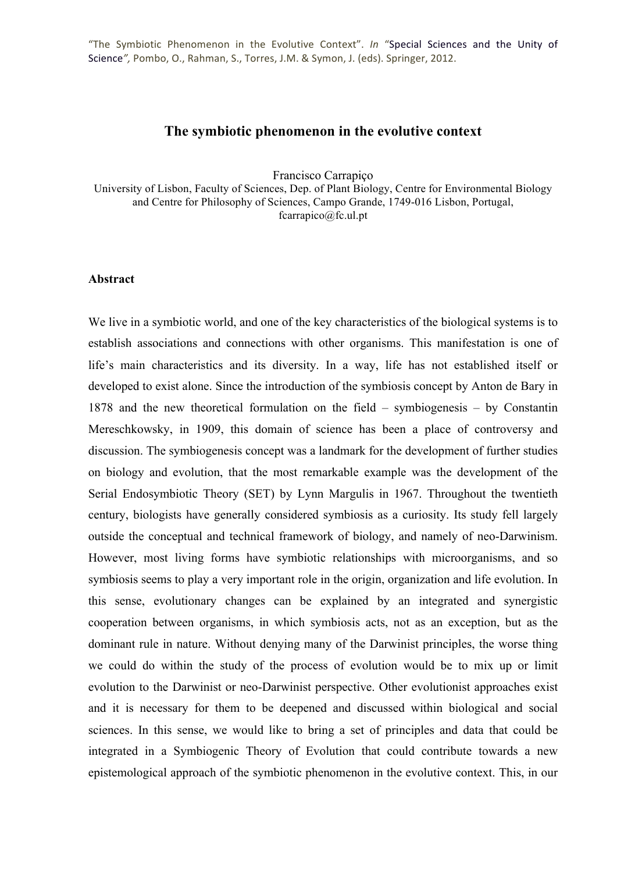# **The symbiotic phenomenon in the evolutive context**

Francisco Carrapiço

University of Lisbon, Faculty of Sciences, Dep. of Plant Biology, Centre for Environmental Biology and Centre for Philosophy of Sciences, Campo Grande, 1749-016 Lisbon, Portugal, fcarrapico@fc.ul.pt

### **Abstract**

We live in a symbiotic world, and one of the key characteristics of the biological systems is to establish associations and connections with other organisms. This manifestation is one of life's main characteristics and its diversity. In a way, life has not established itself or developed to exist alone. Since the introduction of the symbiosis concept by Anton de Bary in 1878 and the new theoretical formulation on the field – symbiogenesis – by Constantin Mereschkowsky, in 1909, this domain of science has been a place of controversy and discussion. The symbiogenesis concept was a landmark for the development of further studies on biology and evolution, that the most remarkable example was the development of the Serial Endosymbiotic Theory (SET) by Lynn Margulis in 1967. Throughout the twentieth century, biologists have generally considered symbiosis as a curiosity. Its study fell largely outside the conceptual and technical framework of biology, and namely of neo-Darwinism. However, most living forms have symbiotic relationships with microorganisms, and so symbiosis seems to play a very important role in the origin, organization and life evolution. In this sense, evolutionary changes can be explained by an integrated and synergistic cooperation between organisms, in which symbiosis acts, not as an exception, but as the dominant rule in nature. Without denying many of the Darwinist principles, the worse thing we could do within the study of the process of evolution would be to mix up or limit evolution to the Darwinist or neo-Darwinist perspective. Other evolutionist approaches exist and it is necessary for them to be deepened and discussed within biological and social sciences. In this sense, we would like to bring a set of principles and data that could be integrated in a Symbiogenic Theory of Evolution that could contribute towards a new epistemological approach of the symbiotic phenomenon in the evolutive context. This, in our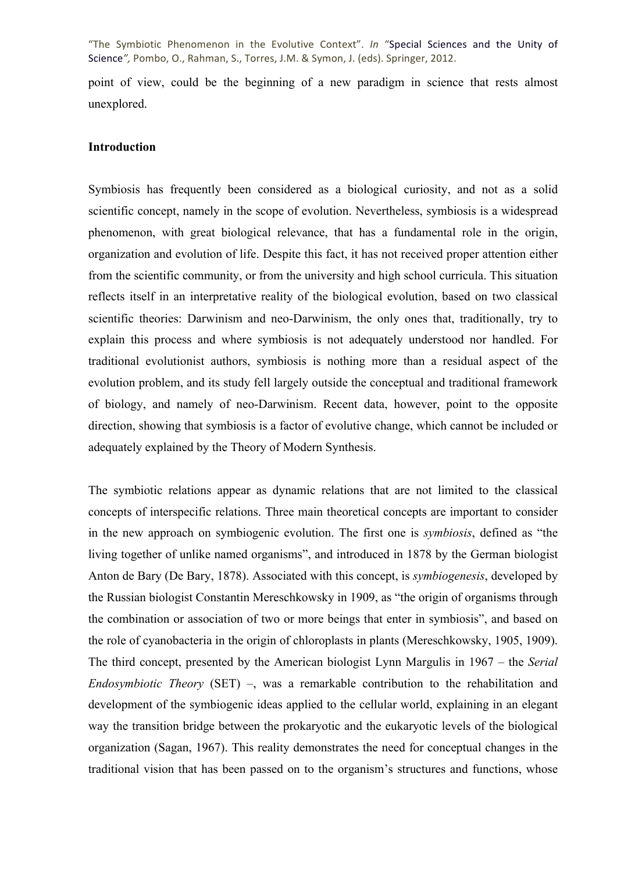point of view, could be the beginning of a new paradigm in science that rests almost unexplored.

## **Introduction**

Symbiosis has frequently been considered as a biological curiosity, and not as a solid scientific concept, namely in the scope of evolution. Nevertheless, symbiosis is a widespread phenomenon, with great biological relevance, that has a fundamental role in the origin, organization and evolution of life. Despite this fact, it has not received proper attention either from the scientific community, or from the university and high school curricula. This situation reflects itself in an interpretative reality of the biological evolution, based on two classical scientific theories: Darwinism and neo-Darwinism, the only ones that, traditionally, try to explain this process and where symbiosis is not adequately understood nor handled. For traditional evolutionist authors, symbiosis is nothing more than a residual aspect of the evolution problem, and its study fell largely outside the conceptual and traditional framework of biology, and namely of neo-Darwinism. Recent data, however, point to the opposite direction, showing that symbiosis is a factor of evolutive change, which cannot be included or adequately explained by the Theory of Modern Synthesis.

The symbiotic relations appear as dynamic relations that are not limited to the classical concepts of interspecific relations. Three main theoretical concepts are important to consider in the new approach on symbiogenic evolution. The first one is *symbiosis*, defined as "the living together of unlike named organisms", and introduced in 1878 by the German biologist Anton de Bary (De Bary, 1878). Associated with this concept, is *symbiogenesis*, developed by the Russian biologist Constantin Mereschkowsky in 1909, as "the origin of organisms through the combination or association of two or more beings that enter in symbiosis", and based on the role of cyanobacteria in the origin of chloroplasts in plants (Mereschkowsky, 1905, 1909). The third concept, presented by the American biologist Lynn Margulis in 1967 – the *Serial Endosymbiotic Theory* (SET) –, was a remarkable contribution to the rehabilitation and development of the symbiogenic ideas applied to the cellular world, explaining in an elegant way the transition bridge between the prokaryotic and the eukaryotic levels of the biological organization (Sagan, 1967). This reality demonstrates the need for conceptual changes in the traditional vision that has been passed on to the organism's structures and functions, whose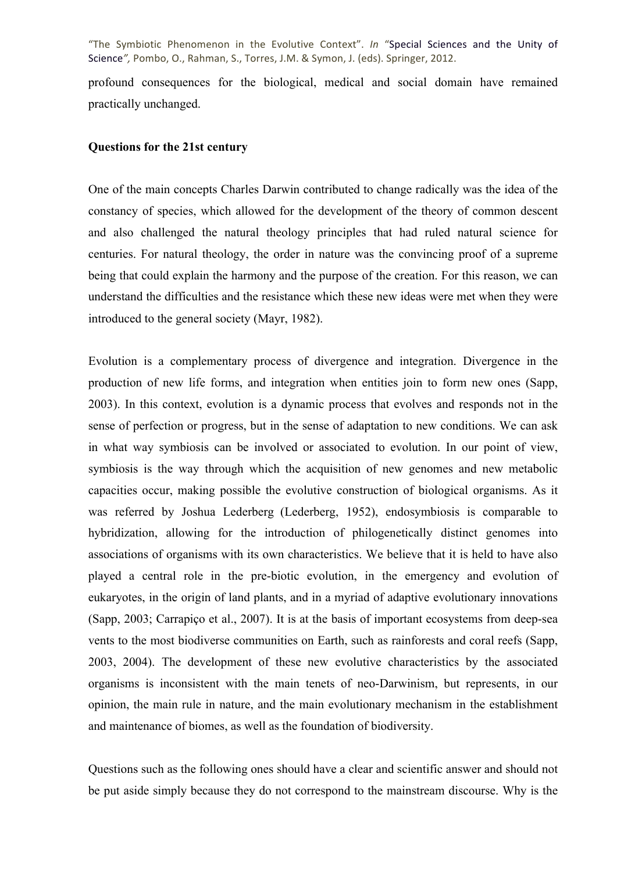profound consequences for the biological, medical and social domain have remained practically unchanged.

### **Questions for the 21st century**

One of the main concepts Charles Darwin contributed to change radically was the idea of the constancy of species, which allowed for the development of the theory of common descent and also challenged the natural theology principles that had ruled natural science for centuries. For natural theology, the order in nature was the convincing proof of a supreme being that could explain the harmony and the purpose of the creation. For this reason, we can understand the difficulties and the resistance which these new ideas were met when they were introduced to the general society (Mayr, 1982).

Evolution is a complementary process of divergence and integration. Divergence in the production of new life forms, and integration when entities join to form new ones (Sapp, 2003). In this context, evolution is a dynamic process that evolves and responds not in the sense of perfection or progress, but in the sense of adaptation to new conditions. We can ask in what way symbiosis can be involved or associated to evolution. In our point of view, symbiosis is the way through which the acquisition of new genomes and new metabolic capacities occur, making possible the evolutive construction of biological organisms. As it was referred by Joshua Lederberg (Lederberg, 1952), endosymbiosis is comparable to hybridization, allowing for the introduction of philogenetically distinct genomes into associations of organisms with its own characteristics. We believe that it is held to have also played a central role in the pre-biotic evolution, in the emergency and evolution of eukaryotes, in the origin of land plants, and in a myriad of adaptive evolutionary innovations (Sapp, 2003; Carrapiço et al., 2007). It is at the basis of important ecosystems from deep-sea vents to the most biodiverse communities on Earth, such as rainforests and coral reefs (Sapp, 2003, 2004). The development of these new evolutive characteristics by the associated organisms is inconsistent with the main tenets of neo-Darwinism, but represents, in our opinion, the main rule in nature, and the main evolutionary mechanism in the establishment and maintenance of biomes, as well as the foundation of biodiversity.

Questions such as the following ones should have a clear and scientific answer and should not be put aside simply because they do not correspond to the mainstream discourse. Why is the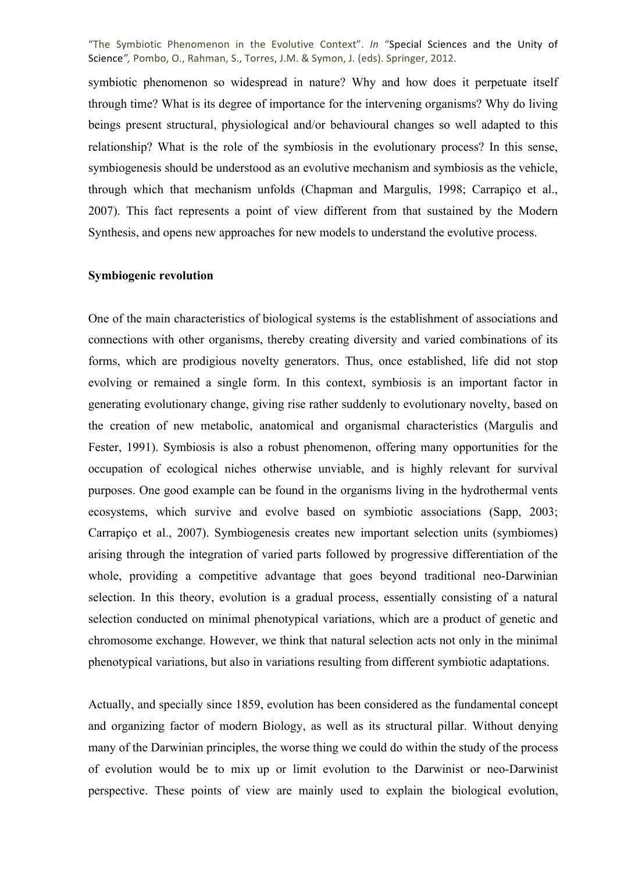symbiotic phenomenon so widespread in nature? Why and how does it perpetuate itself through time? What is its degree of importance for the intervening organisms? Why do living beings present structural, physiological and/or behavioural changes so well adapted to this relationship? What is the role of the symbiosis in the evolutionary process? In this sense, symbiogenesis should be understood as an evolutive mechanism and symbiosis as the vehicle, through which that mechanism unfolds (Chapman and Margulis, 1998; Carrapiço et al., 2007). This fact represents a point of view different from that sustained by the Modern Synthesis, and opens new approaches for new models to understand the evolutive process.

#### **Symbiogenic revolution**

One of the main characteristics of biological systems is the establishment of associations and connections with other organisms, thereby creating diversity and varied combinations of its forms, which are prodigious novelty generators. Thus, once established, life did not stop evolving or remained a single form. In this context, symbiosis is an important factor in generating evolutionary change, giving rise rather suddenly to evolutionary novelty, based on the creation of new metabolic, anatomical and organismal characteristics (Margulis and Fester, 1991). Symbiosis is also a robust phenomenon, offering many opportunities for the occupation of ecological niches otherwise unviable, and is highly relevant for survival purposes. One good example can be found in the organisms living in the hydrothermal vents ecosystems, which survive and evolve based on symbiotic associations (Sapp, 2003; Carrapiço et al., 2007). Symbiogenesis creates new important selection units (symbiomes) arising through the integration of varied parts followed by progressive differentiation of the whole, providing a competitive advantage that goes beyond traditional neo-Darwinian selection. In this theory, evolution is a gradual process, essentially consisting of a natural selection conducted on minimal phenotypical variations, which are a product of genetic and chromosome exchange. However, we think that natural selection acts not only in the minimal phenotypical variations, but also in variations resulting from different symbiotic adaptations.

Actually, and specially since 1859, evolution has been considered as the fundamental concept and organizing factor of modern Biology, as well as its structural pillar. Without denying many of the Darwinian principles, the worse thing we could do within the study of the process of evolution would be to mix up or limit evolution to the Darwinist or neo-Darwinist perspective. These points of view are mainly used to explain the biological evolution,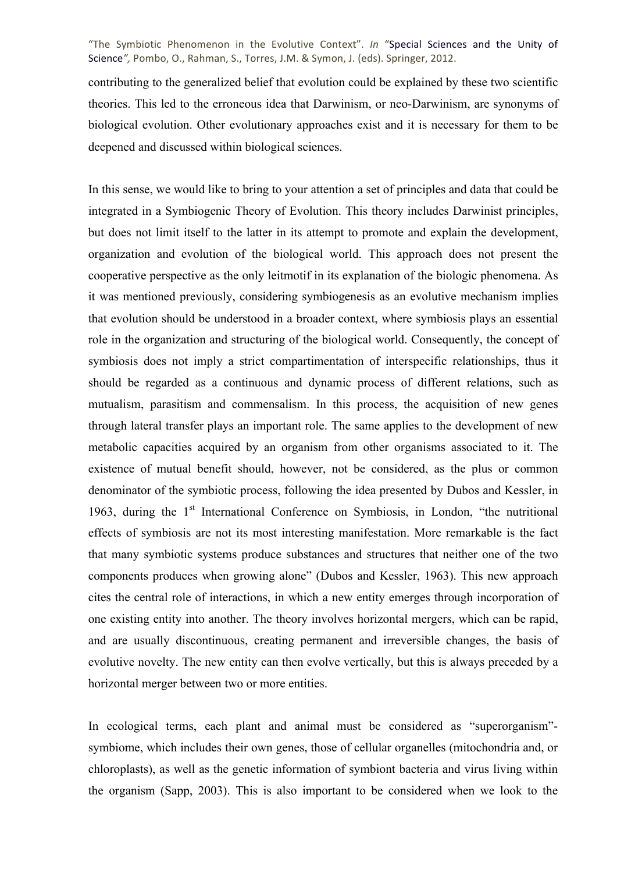contributing to the generalized belief that evolution could be explained by these two scientific theories. This led to the erroneous idea that Darwinism, or neo-Darwinism, are synonyms of biological evolution. Other evolutionary approaches exist and it is necessary for them to be deepened and discussed within biological sciences.

In this sense, we would like to bring to your attention a set of principles and data that could be integrated in a Symbiogenic Theory of Evolution. This theory includes Darwinist principles, but does not limit itself to the latter in its attempt to promote and explain the development, organization and evolution of the biological world. This approach does not present the cooperative perspective as the only leitmotif in its explanation of the biologic phenomena. As it was mentioned previously, considering symbiogenesis as an evolutive mechanism implies that evolution should be understood in a broader context, where symbiosis plays an essential role in the organization and structuring of the biological world. Consequently, the concept of symbiosis does not imply a strict compartimentation of interspecific relationships, thus it should be regarded as a continuous and dynamic process of different relations, such as mutualism, parasitism and commensalism. In this process, the acquisition of new genes through lateral transfer plays an important role. The same applies to the development of new metabolic capacities acquired by an organism from other organisms associated to it. The existence of mutual benefit should, however, not be considered, as the plus or common denominator of the symbiotic process, following the idea presented by Dubos and Kessler, in 1963, during the  $1<sup>st</sup>$  International Conference on Symbiosis, in London, "the nutritional effects of symbiosis are not its most interesting manifestation. More remarkable is the fact that many symbiotic systems produce substances and structures that neither one of the two components produces when growing alone" (Dubos and Kessler, 1963). This new approach cites the central role of interactions, in which a new entity emerges through incorporation of one existing entity into another. The theory involves horizontal mergers, which can be rapid, and are usually discontinuous, creating permanent and irreversible changes, the basis of evolutive novelty. The new entity can then evolve vertically, but this is always preceded by a horizontal merger between two or more entities.

In ecological terms, each plant and animal must be considered as "superorganism" symbiome, which includes their own genes, those of cellular organelles (mitochondria and, or chloroplasts), as well as the genetic information of symbiont bacteria and virus living within the organism (Sapp, 2003). This is also important to be considered when we look to the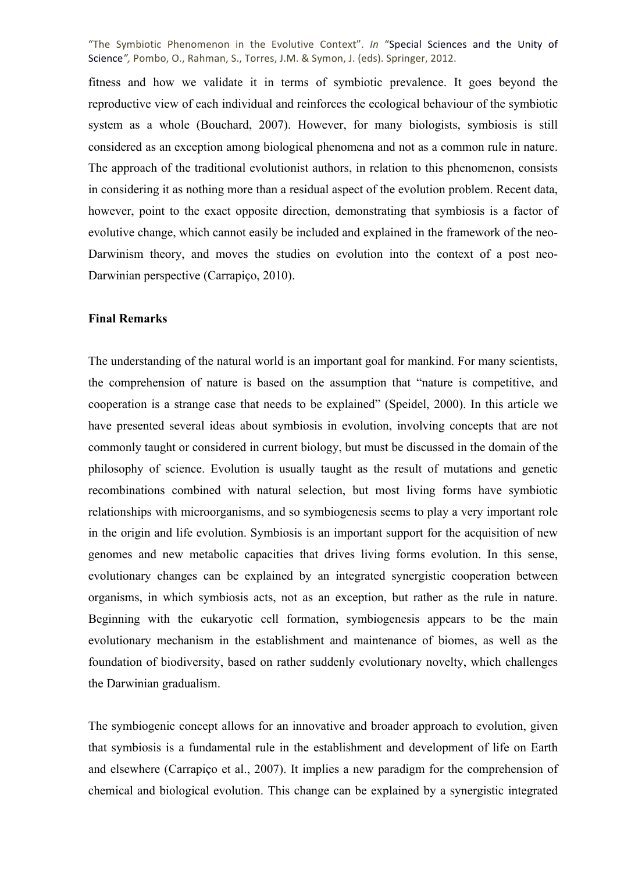fitness and how we validate it in terms of symbiotic prevalence. It goes beyond the reproductive view of each individual and reinforces the ecological behaviour of the symbiotic system as a whole (Bouchard, 2007). However, for many biologists, symbiosis is still considered as an exception among biological phenomena and not as a common rule in nature. The approach of the traditional evolutionist authors, in relation to this phenomenon, consists in considering it as nothing more than a residual aspect of the evolution problem. Recent data, however, point to the exact opposite direction, demonstrating that symbiosis is a factor of evolutive change, which cannot easily be included and explained in the framework of the neo-Darwinism theory, and moves the studies on evolution into the context of a post neo-Darwinian perspective (Carrapiço, 2010).

#### **Final Remarks**

The understanding of the natural world is an important goal for mankind. For many scientists, the comprehension of nature is based on the assumption that "nature is competitive, and cooperation is a strange case that needs to be explained" (Speidel, 2000). In this article we have presented several ideas about symbiosis in evolution, involving concepts that are not commonly taught or considered in current biology, but must be discussed in the domain of the philosophy of science. Evolution is usually taught as the result of mutations and genetic recombinations combined with natural selection, but most living forms have symbiotic relationships with microorganisms, and so symbiogenesis seems to play a very important role in the origin and life evolution. Symbiosis is an important support for the acquisition of new genomes and new metabolic capacities that drives living forms evolution. In this sense, evolutionary changes can be explained by an integrated synergistic cooperation between organisms, in which symbiosis acts, not as an exception, but rather as the rule in nature. Beginning with the eukaryotic cell formation, symbiogenesis appears to be the main evolutionary mechanism in the establishment and maintenance of biomes, as well as the foundation of biodiversity, based on rather suddenly evolutionary novelty, which challenges the Darwinian gradualism.

The symbiogenic concept allows for an innovative and broader approach to evolution, given that symbiosis is a fundamental rule in the establishment and development of life on Earth and elsewhere (Carrapiço et al., 2007). It implies a new paradigm for the comprehension of chemical and biological evolution. This change can be explained by a synergistic integrated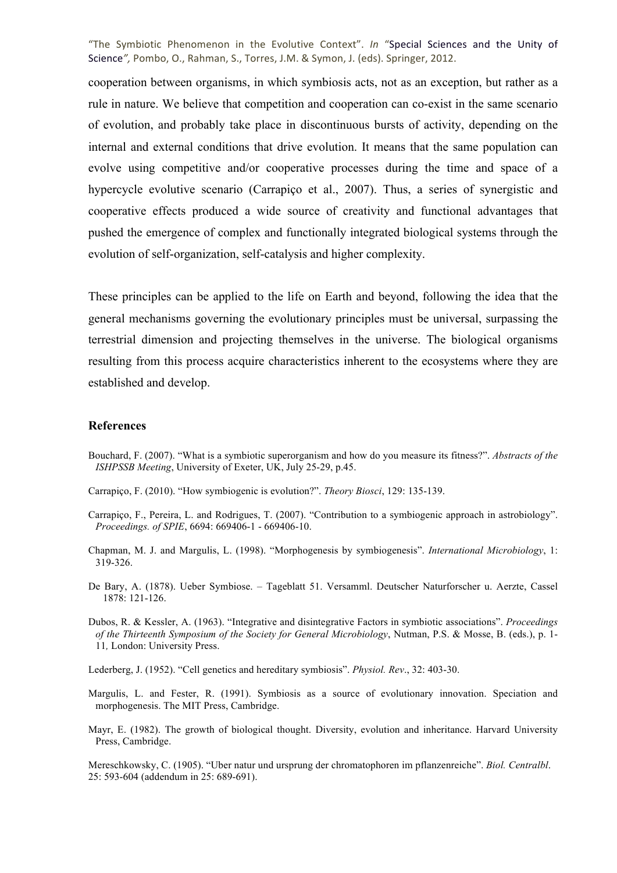cooperation between organisms, in which symbiosis acts, not as an exception, but rather as a rule in nature. We believe that competition and cooperation can co-exist in the same scenario of evolution, and probably take place in discontinuous bursts of activity, depending on the internal and external conditions that drive evolution. It means that the same population can evolve using competitive and/or cooperative processes during the time and space of a hypercycle evolutive scenario (Carrapiço et al., 2007). Thus, a series of synergistic and cooperative effects produced a wide source of creativity and functional advantages that pushed the emergence of complex and functionally integrated biological systems through the evolution of self-organization, self-catalysis and higher complexity.

These principles can be applied to the life on Earth and beyond, following the idea that the general mechanisms governing the evolutionary principles must be universal, surpassing the terrestrial dimension and projecting themselves in the universe. The biological organisms resulting from this process acquire characteristics inherent to the ecosystems where they are established and develop.

## **References**

- Bouchard, F. (2007). "What is a symbiotic superorganism and how do you measure its fitness?". *Abstracts of the ISHPSSB Meeting*, University of Exeter, UK, July 25-29, p.45.
- Carrapiço, F. (2010). "How symbiogenic is evolution?". *Theory Biosci*, 129: 135-139.
- Carrapiço, F., Pereira, L. and Rodrigues, T. (2007). "Contribution to a symbiogenic approach in astrobiology". *Proceedings. of SPIE*, 6694: 669406-1 - 669406-10.
- Chapman, M. J. and Margulis, L. (1998). "Morphogenesis by symbiogenesis". *International Microbiology*, 1: 319-326.
- De Bary, A. (1878). Ueber Symbiose. Tageblatt 51. Versamml. Deutscher Naturforscher u. Aerzte, Cassel 1878: 121-126.
- Dubos, R. & Kessler, A. (1963). "Integrative and disintegrative Factors in symbiotic associations". *Proceedings of the Thirteenth Symposium of the Society for General Microbiology*, Nutman, P.S. & Mosse, B. (eds.), p. 1- 11*,* London: University Press.
- Lederberg, J. (1952). "Cell genetics and hereditary symbiosis". *Physiol. Rev*., 32: 403-30.
- Margulis, L. and Fester, R. (1991). Symbiosis as a source of evolutionary innovation. Speciation and morphogenesis. The MIT Press, Cambridge.
- Mayr, E. (1982). The growth of biological thought. Diversity, evolution and inheritance. Harvard University Press, Cambridge.

Mereschkowsky, C. (1905). "Uber natur und ursprung der chromatophoren im pflanzenreiche". *Biol. Centralbl*. 25: 593-604 (addendum in 25: 689-691).